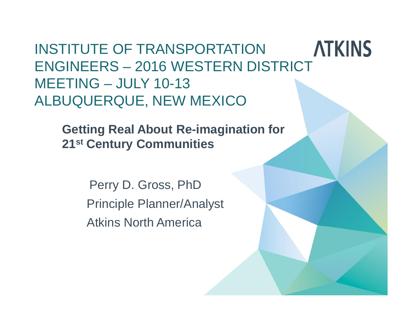**ATKINS** INSTITUTE OF TRANSPORTATION ENGINEERS – 2016 WESTERN DISTRICT MEETING – JULY 10-13 ALBUQUERQUE, NEW MEXICO

**Getting Real About Re-imagination for 21st Century Communities**

> Perry D. Gross, PhD Principle Planner/Analyst Atkins North America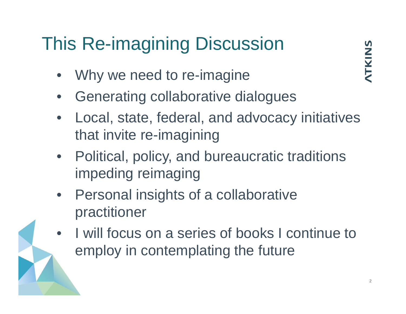### This Re-imagining Discussion

- Why we need to re-imagine
- Generating collaborative dialogues
- Local, state, federal, and advocacy initiatives that invite re-imagining
- Political, policy, and bureaucratic traditions impeding reimaging
- Personal insights of a collaborative practitioner
- I will focus on a series of books I continue to employ in contemplating the future

NTKINS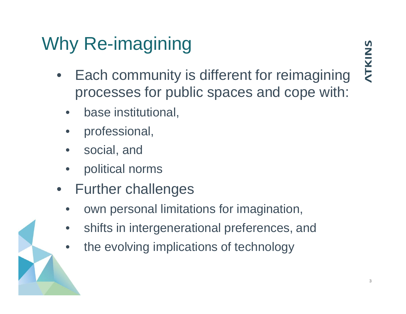### Why Re-imagining

- Each community is different for reimagining processes for public spaces and cope with:
	- base institutional,
	- professional,
	- social, and
	- political norms
- Further challenges
	- own personal limitations for imagination,
	- shifts in intergenerational preferences, and
	- the evolving implications of technology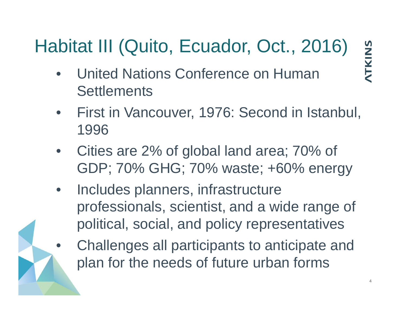### Habitat III (Quito, Ecuador, Oct., 2016)

**ATKINS** 

- United Nations Conference on Human **Settlements**
- First in Vancouver, 1976: Second in Istanbul, 1996
- Cities are 2% of global land area; 70% of GDP; 70% GHG; 70% waste; +60% energy
- Includes planners, infrastructure professionals, scientist, and a wide range of political, social, and policy representatives
	- Challenges all participants to anticipate and plan for the needs of future urban forms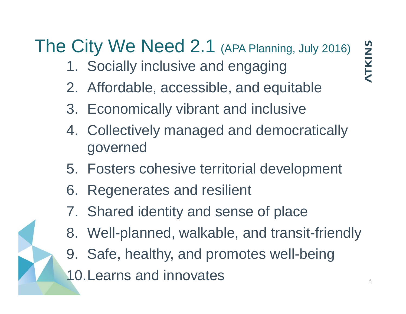### The City We Need 2.1 (APA Planning, July 2016)

- 1. Socially inclusive and engaging
- 2. Affordable, accessible, and equitable
- 3. Economically vibrant and inclusive
- 4. Collectively managed and democratically governed
- 5. Fosters cohesive territorial development
- 6. Regenerates and resilient
- 7. Shared identity and sense of place
- 8. Well-planned, walkable, and transit-friendly
- 9. Safe, healthy, and promotes well-being 10. Learns and innovates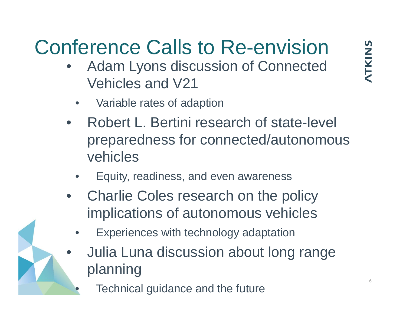# Conference Calls to Re-envision

- Adam Lyons discussion of Connected Vehicles and V21
	- Variable rates of adaption
- Robert L. Bertini research of state-level preparedness for connected/autonomous vehicles
	- Equity, readiness, and even awareness
- Charlie Coles research on the policy implications of autonomous vehicles
	- Experiences with technology adaptation
	- Julia Luna discussion about long range planning
		- Technical guidance and the future

6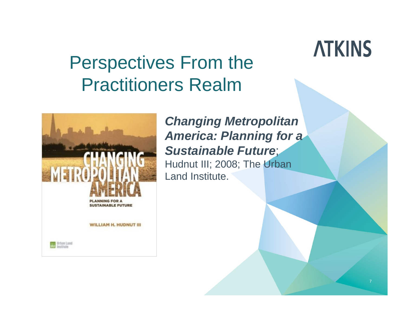7

### Perspectives From the Practitioners Realm



*Changing Metropolitan America: Planning for a Sustainable Future*; Hudnut III; 2008; The Urban Land Institute.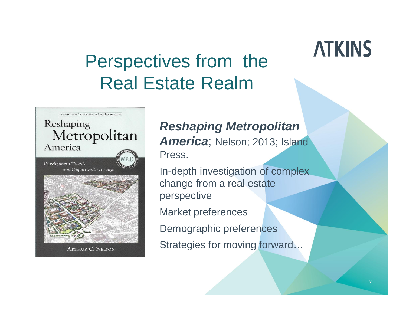### Perspectives from the Real Estate Realm



**ARTHUR C. NELSON** 

*Reshaping Metropolitan* America; Nelson; 2013; Island Press.

In-depth investigation of complex change from a real estate perspective

Market preferences

Demographic preferences

Strategies for moving forward…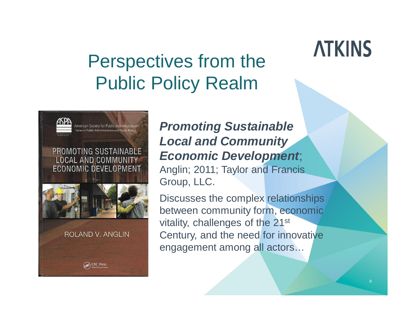### Perspectives from the Public Policy Realm





**ROLAND V. ANGLIN** 

**CRC Press** 

*Promoting Sustainable Local and Community Economic Development*;

Anglin; 2011; Taylor and Francis Group, LLC.

Discusses the complex relationships between community form, economic vitality, challenges of the 21st Century, and the need for innovative engagement among all actors…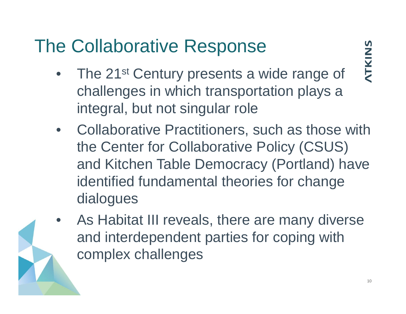### The Collaborative Response

- The 21<sup>st</sup> Century presents a wide range of challenges in which transportation plays a integral, but not singular role
- Collaborative Practitioners, such as those with the Center for Collaborative Policy (CSUS) and Kitchen Table Democracy (Portland) have identified fundamental theories for change dialogues
- As Habitat III reveals, there are many diverse and interdependent parties for coping with complex challenges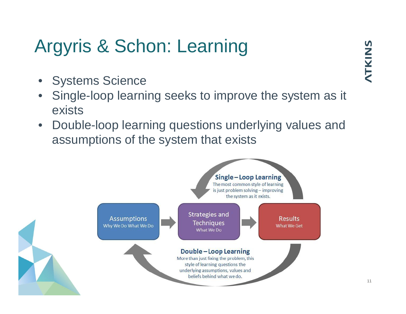### Argyris & Schon: Learning

- Systems Science
- Single-loop learning seeks to improve the system as it exists
- Double-loop learning questions underlying values and assumptions of the system that exists

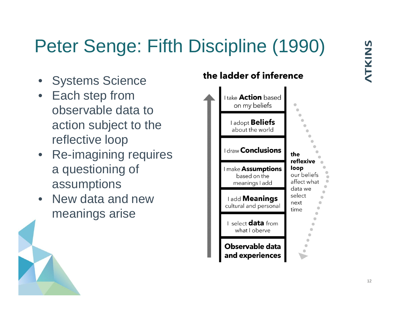### Peter Senge: Fifth Discipline (1990)

- Systems Science
- Each step from observable data to action subject to the reflective loop
- Re-imagining requires a questioning of assumptions
- New data and new meanings arise

#### the ladder of inference

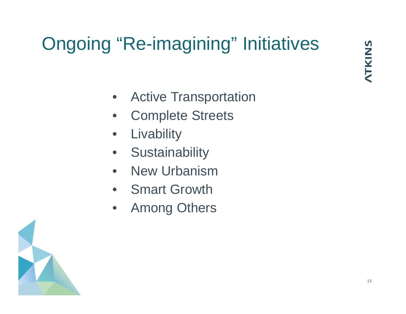### Ongoing "Re-imagining" Initiatives

- Active Transportation
- Complete Streets
- Livability
- Sustainability
- New Urbanism
- Smart Growth
- **Among Others**

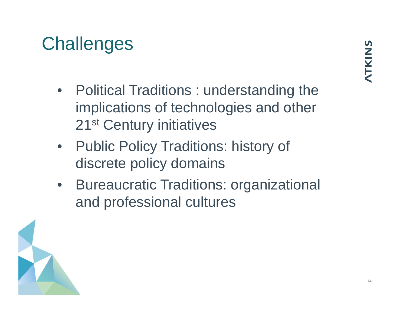### **Challenges**

- Political Traditions : understanding the implications of technologies and other 21<sup>st</sup> Century initiatives
- Public Policy Traditions: history of discrete policy domains
- Bureaucratic Traditions: organizational and professional cultures

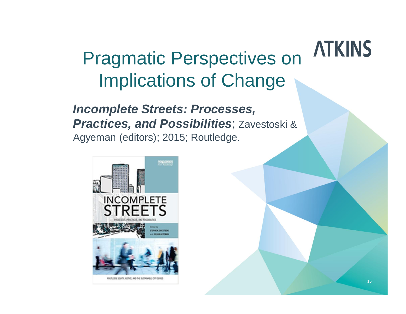### **ATKINS** Pragmatic Perspectives on Implications of Change

*Incomplete Streets: Processes, Practices, and Possibilities*; Zavestoski & Agyeman (editors); 2015; Routledge.

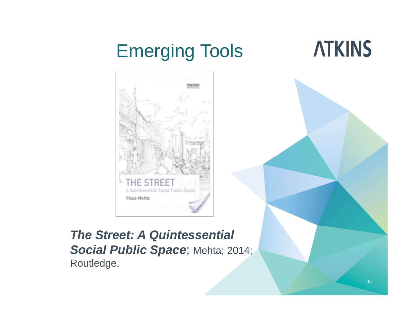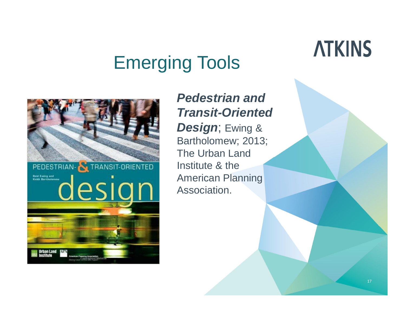### Emerging Tools



*Pedestrian and Transit-Oriented Design*; Ewing & Bartholomew; 2013; The Urban Land Institute & the American Planning Association.

### **ATKINS**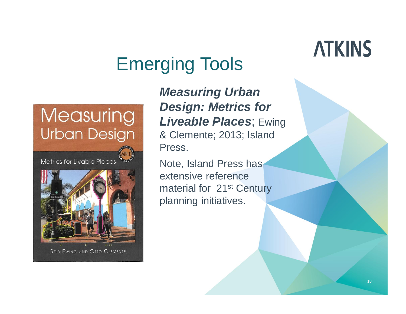### Emerging Tools

### **Measuring Urban Design**

Metrics for Livable Places



*Measuring Urban Design: Metrics for Liveable Places*; Ewing & Clemente; 2013; Island Press.

Note, Island Press has extensive reference material for 21<sup>st</sup> Century planning initiatives.

## **ATKINS**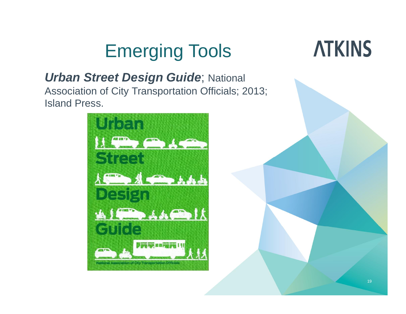### Emerging Tools

### *Urban Street Design Guide*; National

Association of City Transportation Officials; 2013; Island Press.



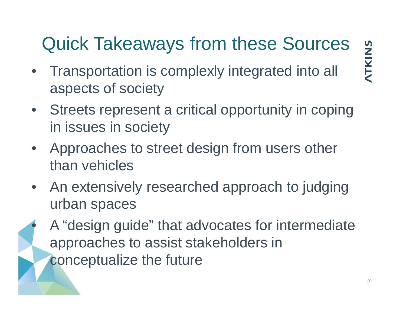### Quick Takeaways from these Sources

• Transportation is complexly integrated into all aspects of society

- Streets represent a critical opportunity in coping in issues in society
- Approaches to street design from users other than vehicles
- An extensively researched approach to judging urban spaces
	- A "design guide" that advocates for intermediate approaches to assist stakeholders in conceptualize the future